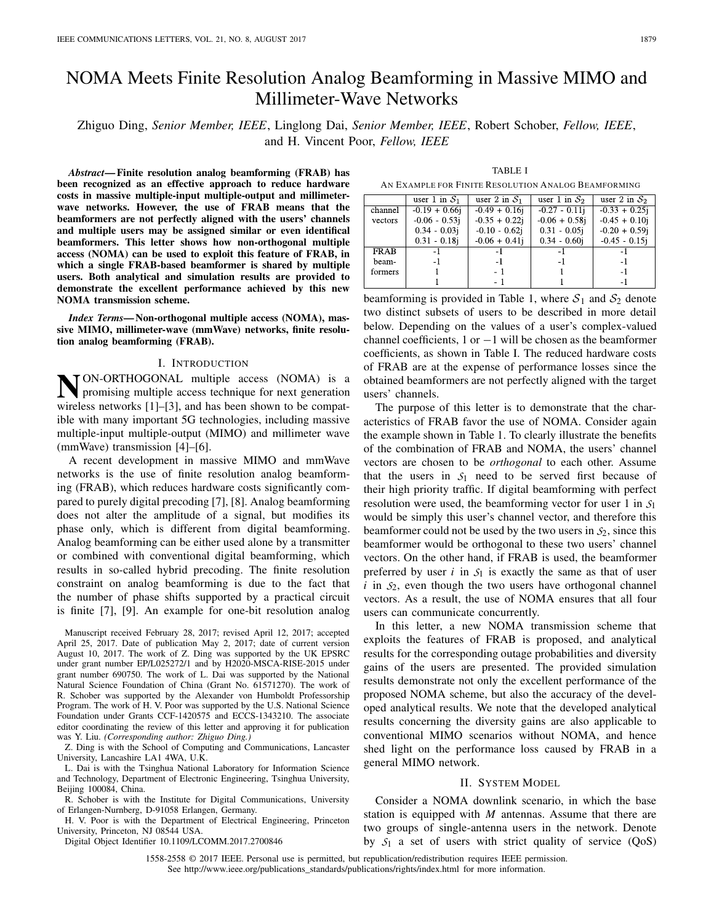# NOMA Meets Finite Resolution Analog Beamforming in Massive MIMO and Millimeter-Wave Networks

Zhiguo Ding, *Senior Member, IEEE*, Linglong Dai, *Senior Member, IEEE*, Robert Schober, *Fellow, IEEE*, and H. Vincent Poor, *Fellow, IEEE*

*Abstract***— Finite resolution analog beamforming (FRAB) has been recognized as an effective approach to reduce hardware costs in massive multiple-input multiple-output and millimeterwave networks. However, the use of FRAB means that the beamformers are not perfectly aligned with the users' channels and multiple users may be assigned similar or even identifical beamformers. This letter shows how non-orthogonal multiple access (NOMA) can be used to exploit this feature of FRAB, in which a single FRAB-based beamformer is shared by multiple users. Both analytical and simulation results are provided to demonstrate the excellent performance achieved by this new NOMA transmission scheme.**

*Index Terms***— Non-orthogonal multiple access (NOMA), massive MIMO, millimeter-wave (mmWave) networks, finite resolution analog beamforming (FRAB).**

#### I. INTRODUCTION

**N**ON-ORTHOGONAL multiple access (NOMA) is a promising multiple access technique for next generation wireless networks [1]–[3], and has been shown to be compatible with many important 5G technologies, including massive multiple-input multiple-output (MIMO) and millimeter wave (mmWave) transmission [4]–[6].

A recent development in massive MIMO and mmWave networks is the use of finite resolution analog beamforming (FRAB), which reduces hardware costs significantly compared to purely digital precoding [7], [8]. Analog beamforming does not alter the amplitude of a signal, but modifies its phase only, which is different from digital beamforming. Analog beamforming can be either used alone by a transmitter or combined with conventional digital beamforming, which results in so-called hybrid precoding. The finite resolution constraint on analog beamforming is due to the fact that the number of phase shifts supported by a practical circuit is finite [7], [9]. An example for one-bit resolution analog

Manuscript received February 28, 2017; revised April 12, 2017; accepted April 25, 2017. Date of publication May 2, 2017; date of current version August 10, 2017. The work of Z. Ding was supported by the UK EPSRC under grant number EP/L025272/1 and by H2020-MSCA-RISE-2015 under grant number 690750. The work of L. Dai was supported by the National Natural Science Foundation of China (Grant No. 61571270). The work of R. Schober was supported by the Alexander von Humboldt Professorship Program. The work of H. V. Poor was supported by the U.S. National Science Foundation under Grants CCF-1420575 and ECCS-1343210. The associate editor coordinating the review of this letter and approving it for publication was Y. Liu. *(Corresponding author: Zhiguo Ding.)*

Z. Ding is with the School of Computing and Communications, Lancaster University, Lancashire LA1 4WA, U.K.

L. Dai is with the Tsinghua National Laboratory for Information Science and Technology, Department of Electronic Engineering, Tsinghua University, Beijing 100084, China.

R. Schober is with the Institute for Digital Communications, University of Erlangen-Nurnberg, D-91058 Erlangen, Germany.

H. V. Poor is with the Department of Electrical Engineering, Princeton University, Princeton, NJ 08544 USA.

Digital Object Identifier 10.1109/LCOMM.2017.2700846

TABLE I AN EXAMPLE FOR FINITE RESOLUTION ANALOG BEAMFORMING

|             | user 1 in $S_1$  | user 2 in $S_1$  | user 1 in $S_2$  | user 2 in $S_2$  |
|-------------|------------------|------------------|------------------|------------------|
| channel     | $-0.19 + 0.66$ i | $-0.49 + 0.16$ j | $-0.27 - 0.11$ j | $-0.33 + 0.25i$  |
| vectors     | $-0.06 - 0.53j$  | $-0.35 + 0.22i$  | $-0.06 + 0.58$ j | $-0.45 + 0.10i$  |
|             | $0.34 - 0.03j$   | $-0.10 - 0.62$ j | $0.31 - 0.05j$   | $-0.20 + 0.59$ j |
|             | $0.31 - 0.18$ i  | $-0.06 + 0.41i$  | $0.34 - 0.60i$   | $-0.45 - 0.15i$  |
| <b>FRAB</b> | -1               | $-1$             | -1               | - 1              |
| beam-       | - 1              | -1               | -1               | -1               |
| formers     |                  | - 1              |                  | -1               |
|             |                  | - 1              |                  | - 1              |

beamforming is provided in Table 1, where  $S_1$  and  $S_2$  denote two distinct subsets of users to be described in more detail below. Depending on the values of a user's complex-valued channel coefficients, 1 or  $-1$  will be chosen as the beamformer coefficients, as shown in Table I. The reduced hardware costs of FRAB are at the expense of performance losses since the obtained beamformers are not perfectly aligned with the target users' channels.

The purpose of this letter is to demonstrate that the characteristics of FRAB favor the use of NOMA. Consider again the example shown in Table 1. To clearly illustrate the benefits of the combination of FRAB and NOMA, the users' channel vectors are chosen to be *orthogonal* to each other. Assume that the users in *S*<sup>1</sup> need to be served first because of their high priority traffic. If digital beamforming with perfect resolution were used, the beamforming vector for user 1 in *S*<sup>1</sup> would be simply this user's channel vector, and therefore this beamformer could not be used by the two users in  $S_2$ , since this beamformer would be orthogonal to these two users' channel vectors. On the other hand, if FRAB is used, the beamformer preferred by user  $i$  in  $S_1$  is exactly the same as that of user  $i$  in  $S_2$ , even though the two users have orthogonal channel vectors. As a result, the use of NOMA ensures that all four users can communicate concurrently.

In this letter, a new NOMA transmission scheme that exploits the features of FRAB is proposed, and analytical results for the corresponding outage probabilities and diversity gains of the users are presented. The provided simulation results demonstrate not only the excellent performance of the proposed NOMA scheme, but also the accuracy of the developed analytical results. We note that the developed analytical results concerning the diversity gains are also applicable to conventional MIMO scenarios without NOMA, and hence shed light on the performance loss caused by FRAB in a general MIMO network.

# II. SYSTEM MODEL

Consider a NOMA downlink scenario, in which the base station is equipped with *M* antennas. Assume that there are two groups of single-antenna users in the network. Denote by  $S_1$  a set of users with strict quality of service  $(QoS)$ 

1558-2558 © 2017 IEEE. Personal use is permitted, but republication/redistribution requires IEEE permission. See http://www.ieee.org/publications\_standards/publications/rights/index.html for more information.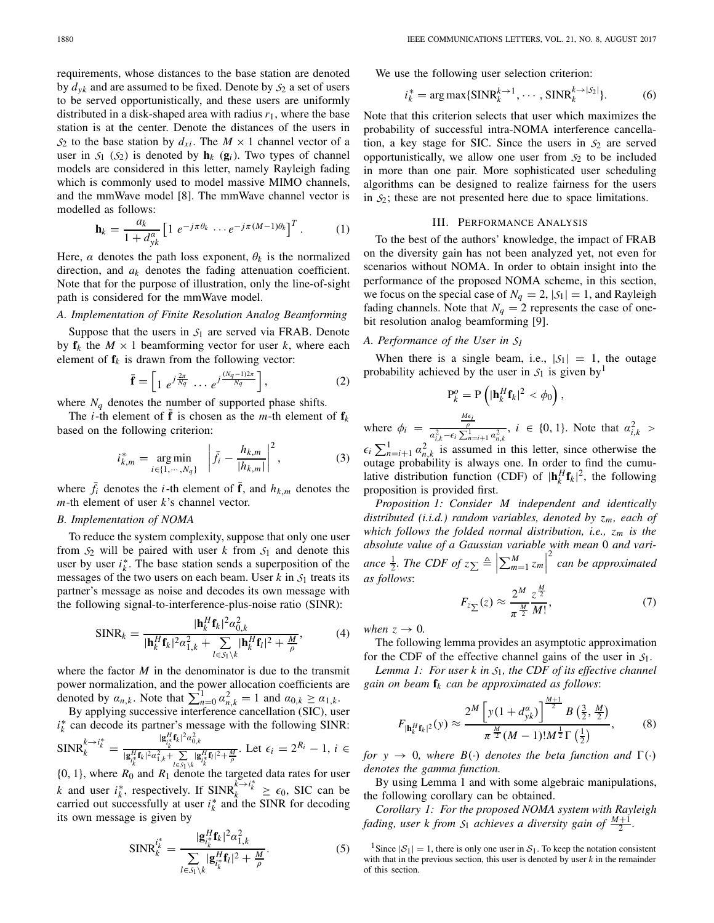requirements, whose distances to the base station are denoted by  $d_{\gamma k}$  and are assumed to be fixed. Denote by  $S_2$  a set of users to be served opportunistically, and these users are uniformly distributed in a disk-shaped area with radius  $r_1$ , where the base station is at the center. Denote the distances of the users in  $S_2$  to the base station by  $d_{xi}$ . The  $M \times 1$  channel vector of a user in  $S_1$  ( $S_2$ ) is denoted by  $h_k$  ( $g_i$ ). Two types of channel models are considered in this letter, namely Rayleigh fading which is commonly used to model massive MIMO channels, and the mmWave model [8]. The mmWave channel vector is modelled as follows:

$$
\mathbf{h}_{k} = \frac{a_{k}}{1 + d_{yk}^{a}} \left[ 1 \ e^{-j\pi \theta_{k}} \cdots e^{-j\pi (M-1)\theta_{k}} \right]^{T} . \tag{1}
$$

Here,  $\alpha$  denotes the path loss exponent,  $\theta_k$  is the normalized direction, and *ak* denotes the fading attenuation coefficient. Note that for the purpose of illustration, only the line-of-sight path is considered for the mmWave model.

# *A. Implementation of Finite Resolution Analog Beamforming*

Suppose that the users in  $S_1$  are served via FRAB. Denote by  $f_k$  the  $M \times 1$  beamforming vector for user *k*, where each element of  $f_k$  is drawn from the following vector:

$$
\bar{\mathbf{f}} = \left[1 \ e^{j\frac{2\pi}{N_q}} \ \cdots \ e^{j\frac{(N_q - 1)2\pi}{N_q}}\right],\tag{2}
$$

where  $N_q$  denotes the number of supported phase shifts.

The *i*-th element of **f** is chosen as the *m*-th element of  $f_k$ based on the following criterion:

$$
i_{k,m}^* = \underset{i \in \{1, \cdots, N_q\}}{\arg \min} \left| \bar{f}_i - \frac{h_{k,m}}{|h_{k,m}|} \right|^2, \tag{3}
$$

where  $\bar{f}_i$  denotes the *i*-th element of  $\bar{f}$ , and  $h_{k,m}$  denotes the *m*-th element of user *k*'s channel vector.

#### *B. Implementation of NOMA*

To reduce the system complexity, suppose that only one user from  $S_2$  will be paired with user *k* from  $S_1$  and denote this user by user  $i_k^*$ . The base station sends a superposition of the messages of the two users on each beam. User  $k$  in  $S_1$  treats its partner's message as noise and decodes its own message with the following signal-to-interference-plus-noise ratio (SINR):

$$
\text{SINR}_k = \frac{|\mathbf{h}_k^H \mathbf{f}_k|^2 \alpha_{0,k}^2}{|\mathbf{h}_k^H \mathbf{f}_k|^2 \alpha_{1,k}^2 + \sum_{l \in S_1 \setminus k} |\mathbf{h}_k^H \mathbf{f}_l|^2 + \frac{M}{\rho}},\tag{4}
$$

where the factor *M* in the denominator is due to the transmit power normalization, and the power allocation coefficients are denoted by  $a_{n,k}$ . Note that  $\sum_{n=0}^{1} a_{n,k}^2 = 1$  and  $a_{0,k} \ge a_{1,k}$ .

By applying successive interference cancellation (SIC), user  $i_k^*$  can decode its partner's message with the following SINR:  $\text{SINR}_{k}^{k \to i_k^*} = \frac{|\mathbf{g}_{i_k}^H \mathbf{f}_k|^2 a_{0,k}^2}{|\mathbf{g}_{i_k}^H \mathbf{f}_k|^2 a_{1,k}^2 + \sum |\mathbf{g}_{i_k}|^2}$  $|\mathbf{g}_{ik}^H \mathbf{f}_k|^2 \alpha_{1,k}^2 + \sum_{l \in S_1 \setminus k}$  $\frac{1}{|\mathbf{g}_{i_k^H}^H \mathbf{f}_i|^2 + \frac{M}{\rho}}$ . Let  $\epsilon_i = 2^{R_i} - 1$ ,  $i \in$ 

 $\{0, 1\}$ , where  $R_0$  and  $R_1$  denote the targeted data rates for user *k* and user  $i_k^*$ , respectively. If  $SINR_k^{\mathcal{K} \to i_k^*} \ge \epsilon_0$ , SIC can be carried out successfully at user  $i_k^*$  and the SINR for decoding its own message is given by

$$
\text{SINR}_{k}^{i_{k}^{*}} = \frac{|\mathbf{g}_{i_{k}^{*}}^{H}\mathbf{f}_{k}|^{2} \alpha_{1,k}^{2}}{\sum_{l \in S_{1} \setminus k} |\mathbf{g}_{i_{k}^{*}}^{H}\mathbf{f}_{l}|^{2} + \frac{M}{\rho}}.
$$
 (5)

We use the following user selection criterion:

$$
i_k^* = \arg \max\{ \text{SINR}_k^{k \to 1}, \cdots, \text{SINR}_k^{k \to |\mathcal{S}_2|} \}. \tag{6}
$$

Note that this criterion selects that user which maximizes the probability of successful intra-NOMA interference cancellation, a key stage for SIC. Since the users in  $S_2$  are served opportunistically, we allow one user from *S*<sup>2</sup> to be included in more than one pair. More sophisticated user scheduling algorithms can be designed to realize fairness for the users in *S*2; these are not presented here due to space limitations.

#### III. PERFORMANCE ANALYSIS

To the best of the authors' knowledge, the impact of FRAB on the diversity gain has not been analyzed yet, not even for scenarios without NOMA. In order to obtain insight into the performance of the proposed NOMA scheme, in this section, we focus on the special case of  $N_q = 2$ ,  $|S_1| = 1$ , and Rayleigh fading channels. Note that  $N_q = 2$  represents the case of onebit resolution analog beamforming [9].

## *A. Performance of the User in S<sup>1</sup>*

When there is a single beam, i.e.,  $|S_1| = 1$ , the outage probability achieved by the user in  $S_1$  is given by<sup>1</sup>

$$
P_k^o = P\left(|\mathbf{h}_k^H \mathbf{f}_k|^2 < \phi_0\right),
$$

where  $\phi_i = \frac{M\epsilon_i}{\alpha_{i,k}^2 - \epsilon_i \sum_{n=i+1}^{1} \alpha_{n,k}^2}$ ,  $i \in \{0, 1\}$ . Note that  $\alpha_{i,k}^2 >$  $\epsilon_i \sum_{n=i+1}^1 \alpha_{n,k}^2$  is assumed in this letter, since otherwise the outage probability is always one. In order to find the cumu-

lative distribution function (CDF) of  $|\mathbf{h}_k^H \mathbf{f}_k|^2$ , the following proposition is provided first. *Proposition 1: Consider M independent and identically distributed (i.i.d.) random variables, denoted by zm, each of*

*which follows the folded normal distribution, i.e., zm is the absolute value of a Gaussian variable with mean* 0 *and variance*  $\frac{1}{2}$ *. The CDF of*  $z_{\sum} \triangleq \left| \sum_{m=1}^{M} z_m \right|$ 2 *can be approximated as follows*:

$$
F_{z_{\sum}}(z) \approx \frac{2^M}{\pi^{\frac{M}{2}}} \frac{z^{\frac{M}{2}}}{M!},\tag{7}
$$

*when*  $z \rightarrow 0$ *.* 

The following lemma provides an asymptotic approximation for the CDF of the effective channel gains of the user in *S*1.

*Lemma 1: For user k in S*1*, the CDF of its effective channel gain on beam* **f***<sup>k</sup> can be approximated as follows*:

$$
F_{|\mathbf{h}_{k}^{H}\mathbf{f}_{k}|^{2}}(y) \approx \frac{2^{M} \left[ y(1 + d_{yk}^{\alpha}) \right]^{\frac{M+1}{2}} B\left(\frac{3}{2}, \frac{M}{2}\right)}{\pi^{\frac{M}{2}} (M-1)! M^{\frac{1}{2}} \Gamma\left(\frac{1}{2}\right)},
$$
(8)

*for*  $y \rightarrow 0$ *, where*  $B(\cdot)$  *denotes the beta function and*  $\Gamma(\cdot)$ *denotes the gamma function.*

By using Lemma 1 and with some algebraic manipulations, the following corollary can be obtained.

*Corollary 1: For the proposed NOMA system with Rayleigh fading, user k from*  $S_1$  *achieves a diversity gain of*  $\frac{M+1}{2}$ *.* 

<sup>1</sup>Since  $|\mathcal{S}_1| = 1$ , there is only one user in  $\mathcal{S}_1$ . To keep the notation consistent with that in the previous section, this user is denoted by user *k* in the remainder of this section.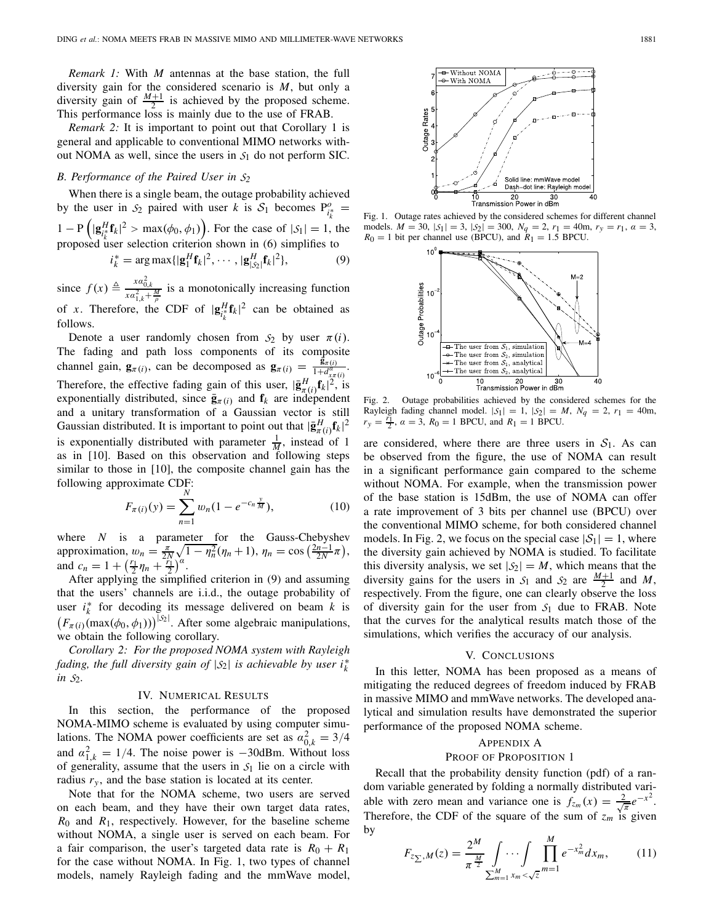*Remark 1:* With *M* antennas at the base station, the full diversity gain for the considered scenario is *M*, but only a diversity gain of  $\frac{M+1}{2}$  is achieved by the proposed scheme. This performance loss is mainly due to the use of FRAB.

*Remark 2:* It is important to point out that Corollary 1 is general and applicable to conventional MIMO networks without NOMA as well, since the users in *S*<sup>1</sup> do not perform SIC.

#### *B. Performance of the Paired User in S<sup>2</sup>*

When there is a single beam, the outage probability achieved by the user in  $S_2$  paired with user *k* is  $S_1$  becomes  $P_{i_k^*}^o$ 1 − P  $\left(|\mathbf{g}_{i_k^H}^H \mathbf{f}_k|^2 > \max(\phi_0, \phi_1)\right)$ . For the case of  $|S_1| = 1$ , the proposed user selection criterion shown in (6) simplifies to

$$
i_k^* = \arg \max \{ |\mathbf{g}_1^H \mathbf{f}_k|^2, \cdots, |\mathbf{g}_{|\mathcal{S}_2|}^H \mathbf{f}_k|^2 \},\tag{9}
$$

since  $f(x) \triangleq \frac{xa_{0,k}^2}{xa_{1,k}^2 + \frac{M}{\rho}}$  is a monotonically increasing function of *x*. Therefore, the CDF of  $|\mathbf{g}_{i_k^*}^H \mathbf{f}_k|^2$  can be obtained as follows.

Denote a user randomly chosen from  $S_2$  by user  $\pi(i)$ . The fading and path loss components of its composite channel gain, **g**<sub>π(*i*</sub>), can be decomposed as  $\mathbf{g}_{\pi(i)} = \frac{\mathbf{g}_{\pi(i)}}{1 + d_{\pi(\pi(i)}^{\alpha}}$ . Therefore, the effective fading gain of this user,  $|\bar{\mathbf{g}}_{\pi(i)}^H \mathbf{f}_k|^2$ , is exponentially distributed, since  $\bar{\mathbf{g}}_{\pi(i)}$  and  $\mathbf{f}_k$  are independent and a unitary transformation of a Gaussian vector is still Gaussian distributed. It is important to point out that  $|\bar{\mathbf{g}}_{\pi(i)}^H\mathbf{f}_k|^2$ is exponentially distributed with parameter  $\frac{1}{M}$ , instead of 1 as in [10]. Based on this observation and following steps similar to those in [10], the composite channel gain has the following approximate CDF:

$$
F_{\pi(i)}(y) = \sum_{n=1}^{N} w_n (1 - e^{-c_n \frac{y}{M}}), \qquad (10)
$$

where *N* is a parameter for the Gauss-Chebyshev approximation,  $w_n = \frac{\pi}{2N} \sqrt{1 - \eta_n^2} (\eta_n + 1), \eta_n = \cos(\frac{2n-1}{2N}\pi),$ and  $c_n = 1 + \left(\frac{r_1}{2}\eta_n + \frac{r_1}{2}\right)^{\alpha}$ .

After applying the simplified criterion in (9) and assuming that the users' channels are i.i.d., the outage probability of user  $i_k^*$  for decoding its message delivered on beam *k* is  $(F_{\pi(i)}(\max(\phi_0, \phi_1)))^{\lceil s_2 \rceil}$ . After some algebraic manipulations, we obtain the following corollary.

*Corollary 2: For the proposed NOMA system with Rayleigh fading, the full diversity gain of*  $|S_2|$  *is achievable by user i*<sup>\*</sup> *in S*2*.*

#### IV. NUMERICAL RESULTS

In this section, the performance of the proposed NOMA-MIMO scheme is evaluated by using computer simulations. The NOMA power coefficients are set as  $\alpha_{0,k}^2 = 3/4$ and  $\alpha_{1,k}^2 = 1/4$ . The noise power is  $-30$ dBm. Without loss of generality, assume that the users in  $S_1$  lie on a circle with radius  $r<sub>y</sub>$ , and the base station is located at its center.

Note that for the NOMA scheme, two users are served on each beam, and they have their own target data rates, *R*<sup>0</sup> and *R*1, respectively. However, for the baseline scheme without NOMA, a single user is served on each beam. For a fair comparison, the user's targeted data rate is  $R_0 + R_1$ for the case without NOMA. In Fig. 1, two types of channel models, namely Rayleigh fading and the mmWave model,



Fig. 1. Outage rates achieved by the considered schemes for different channel models.  $M = 30$ ,  $|S_1| = 3$ ,  $|S_2| = 300$ ,  $N_q = 2$ ,  $r_1 = 40$ m,  $r_y = r_1$ ,  $\alpha = 3$ ,  $R_0 = 1$  bit per channel use (BPCU), and  $R_1 = 1.5$  BPCU.



Fig. 2. Outage probabilities achieved by the considered schemes for the Rayleigh fading channel model.  $|S_1| = 1$ ,  $|S_2| = M$ ,  $N_q = 2$ ,  $r_1 = 40$ m,  $r_y = \frac{r_1}{2}$ ,  $\alpha = 3$ ,  $R_0 = 1$  BPCU, and  $R_1 = 1$  BPCU.

are considered, where there are three users in  $S_1$ . As can be observed from the figure, the use of NOMA can result in a significant performance gain compared to the scheme without NOMA. For example, when the transmission power of the base station is 15dBm, the use of NOMA can offer a rate improvement of 3 bits per channel use (BPCU) over the conventional MIMO scheme, for both considered channel models. In Fig. 2, we focus on the special case  $|S_1| = 1$ , where the diversity gain achieved by NOMA is studied. To facilitate this diversity analysis, we set  $|S_2| = M$ , which means that the diversity gains for the users in  $S_1$  and  $S_2$  are  $\frac{M+1}{2}$  and *M*, respectively. From the figure, one can clearly observe the loss of diversity gain for the user from *S*<sup>1</sup> due to FRAB. Note that the curves for the analytical results match those of the simulations, which verifies the accuracy of our analysis.

## V. CONCLUSIONS

In this letter, NOMA has been proposed as a means of mitigating the reduced degrees of freedom induced by FRAB in massive MIMO and mmWave networks. The developed analytical and simulation results have demonstrated the superior performance of the proposed NOMA scheme.

#### APPENDIX A

## PROOF OF PROPOSITION 1

Recall that the probability density function (pdf) of a random variable generated by folding a normally distributed variable with zero mean and variance one is  $f_{z_m}(x) = \frac{2}{\sqrt{\pi}} e^{-x^2}$ . Therefore, the CDF of the square of the sum of  $z_m$  is given by

$$
F_{z_{\sum},M}(z) = \frac{2^M}{\pi^{\frac{M}{2}}} \int \cdots \int \prod_{m=1}^M e^{-x_m^2} dx_m, \qquad (11)
$$